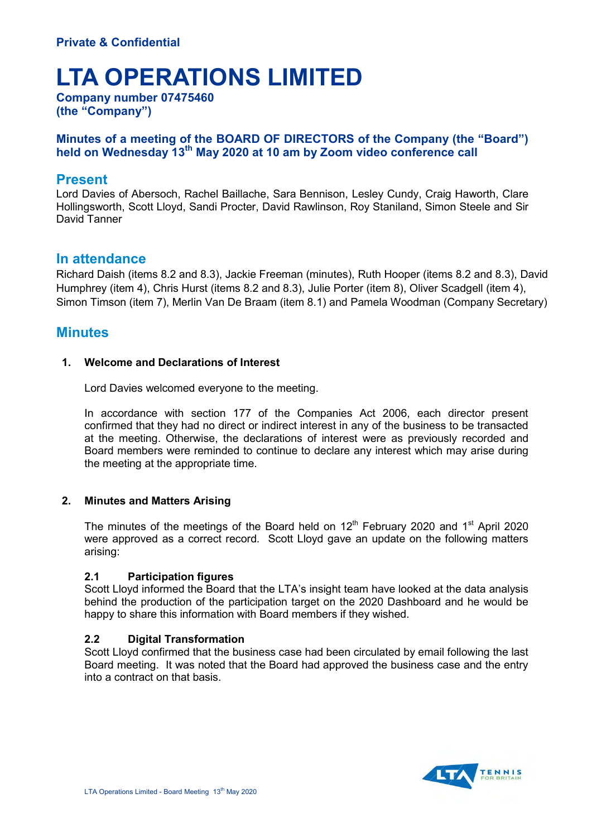# **LTA OPERATIONS LIMITED**

**Company number 07475460 (the "Company")**

## **Minutes of a meeting of the BOARD OF DIRECTORS of the Company (the "Board") held on Wednesday 13th May 2020 at 10 am by Zoom video conference call**

# **Present**

Lord Davies of Abersoch, Rachel Baillache, Sara Bennison, Lesley Cundy, Craig Haworth, Clare Hollingsworth, Scott Lloyd, Sandi Procter, David Rawlinson, Roy Staniland, Simon Steele and Sir David Tanner

# **In attendance**

Richard Daish (items 8.2 and 8.3), Jackie Freeman (minutes), Ruth Hooper (items 8.2 and 8.3), David Humphrey (item 4), Chris Hurst (items 8.2 and 8.3), Julie Porter (item 8), Oliver Scadgell (item 4), Simon Timson (item 7), Merlin Van De Braam (item 8.1) and Pamela Woodman (Company Secretary)

# **Minutes**

## **1. Welcome and Declarations of Interest**

Lord Davies welcomed everyone to the meeting.

In accordance with section 177 of the Companies Act 2006, each director present confirmed that they had no direct or indirect interest in any of the business to be transacted at the meeting. Otherwise, the declarations of interest were as previously recorded and Board members were reminded to continue to declare any interest which may arise during the meeting at the appropriate time.

## **2. Minutes and Matters Arising**

The minutes of the meetings of the Board held on  $12<sup>th</sup>$  February 2020 and 1<sup>st</sup> April 2020 were approved as a correct record. Scott Lloyd gave an update on the following matters arising:

## **2.1 Participation figures**

Scott Lloyd informed the Board that the LTA's insight team have looked at the data analysis behind the production of the participation target on the 2020 Dashboard and he would be happy to share this information with Board members if they wished.

## **2.2 Digital Transformation**

Scott Lloyd confirmed that the business case had been circulated by email following the last Board meeting. It was noted that the Board had approved the business case and the entry into a contract on that basis.

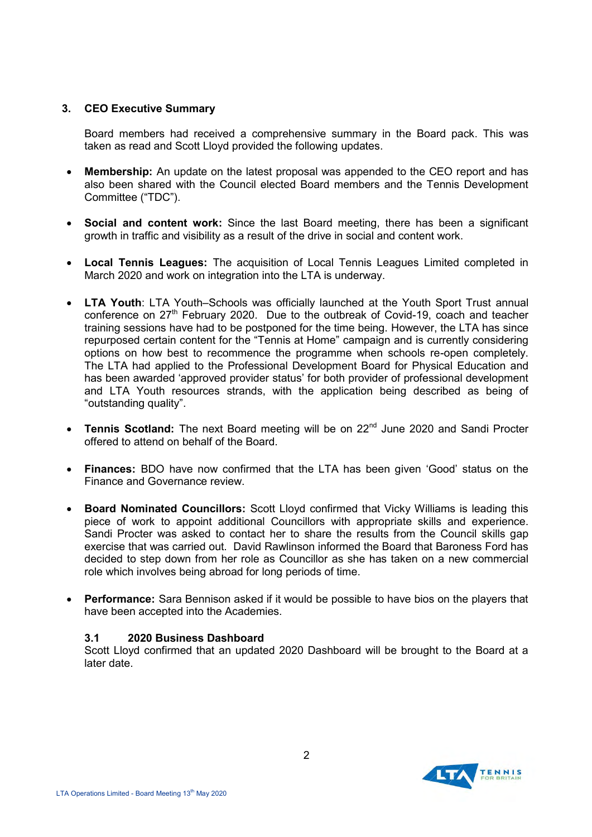## **3. CEO Executive Summary**

Board members had received a comprehensive summary in the Board pack. This was taken as read and Scott Lloyd provided the following updates.

- **Membership:** An update on the latest proposal was appended to the CEO report and has also been shared with the Council elected Board members and the Tennis Development Committee ("TDC").
- **Social and content work:** Since the last Board meeting, there has been a significant growth in traffic and visibility as a result of the drive in social and content work.
- **Local Tennis Leagues:** The acquisition of Local Tennis Leagues Limited completed in March 2020 and work on integration into the LTA is underway.
- **LTA Youth**: LTA Youth–Schools was officially launched at the Youth Sport Trust annual conference on 27<sup>th</sup> February 2020. Due to the outbreak of Covid-19, coach and teacher training sessions have had to be postponed for the time being. However, the LTA has since repurposed certain content for the "Tennis at Home" campaign and is currently considering options on how best to recommence the programme when schools re-open completely. The LTA had applied to the Professional Development Board for Physical Education and has been awarded 'approved provider status' for both provider of professional development and LTA Youth resources strands, with the application being described as being of "outstanding quality".
- **Tennis Scotland:** The next Board meeting will be on 22<sup>nd</sup> June 2020 and Sandi Procter offered to attend on behalf of the Board.
- **Finances:** BDO have now confirmed that the LTA has been given 'Good' status on the Finance and Governance review.
- **Board Nominated Councillors:** Scott Lloyd confirmed that Vicky Williams is leading this piece of work to appoint additional Councillors with appropriate skills and experience. Sandi Procter was asked to contact her to share the results from the Council skills gap exercise that was carried out. David Rawlinson informed the Board that Baroness Ford has decided to step down from her role as Councillor as she has taken on a new commercial role which involves being abroad for long periods of time.
- **Performance:** Sara Bennison asked if it would be possible to have bios on the players that have been accepted into the Academies.

## **3.1 2020 Business Dashboard**

Scott Lloyd confirmed that an updated 2020 Dashboard will be brought to the Board at a later date.

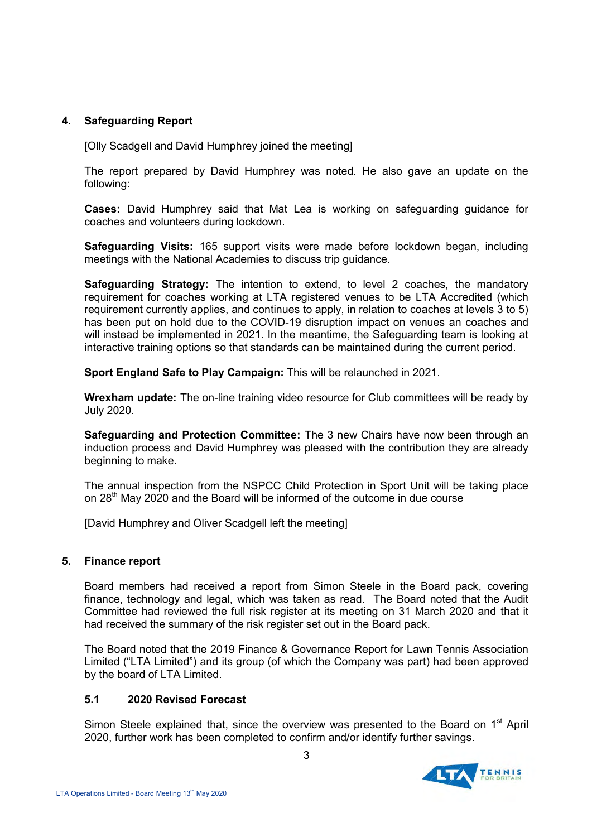## **4. Safeguarding Report**

[Olly Scadgell and David Humphrey joined the meeting]

The report prepared by David Humphrey was noted. He also gave an update on the following:

**Cases:** David Humphrey said that Mat Lea is working on safeguarding guidance for coaches and volunteers during lockdown.

**Safeguarding Visits:** 165 support visits were made before lockdown began, including meetings with the National Academies to discuss trip guidance.

**Safeguarding Strategy:** The intention to extend, to level 2 coaches, the mandatory requirement for coaches working at LTA registered venues to be LTA Accredited (which requirement currently applies, and continues to apply, in relation to coaches at levels 3 to 5) has been put on hold due to the COVID-19 disruption impact on venues an coaches and will instead be implemented in 2021. In the meantime, the Safeguarding team is looking at interactive training options so that standards can be maintained during the current period.

**Sport England Safe to Play Campaign:** This will be relaunched in 2021.

**Wrexham update:** The on-line training video resource for Club committees will be ready by July 2020.

**Safeguarding and Protection Committee:** The 3 new Chairs have now been through an induction process and David Humphrey was pleased with the contribution they are already beginning to make.

The annual inspection from the NSPCC Child Protection in Sport Unit will be taking place on  $28<sup>th</sup>$  May 2020 and the Board will be informed of the outcome in due course

[David Humphrey and Oliver Scadgell left the meeting]

## **5. Finance report**

Board members had received a report from Simon Steele in the Board pack, covering finance, technology and legal, which was taken as read. The Board noted that the Audit Committee had reviewed the full risk register at its meeting on 31 March 2020 and that it had received the summary of the risk register set out in the Board pack.

The Board noted that the 2019 Finance & Governance Report for Lawn Tennis Association Limited ("LTA Limited") and its group (of which the Company was part) had been approved by the board of LTA Limited.

#### **5.1 2020 Revised Forecast**

Simon Steele explained that, since the overview was presented to the Board on 1<sup>st</sup> April 2020, further work has been completed to confirm and/or identify further savings.

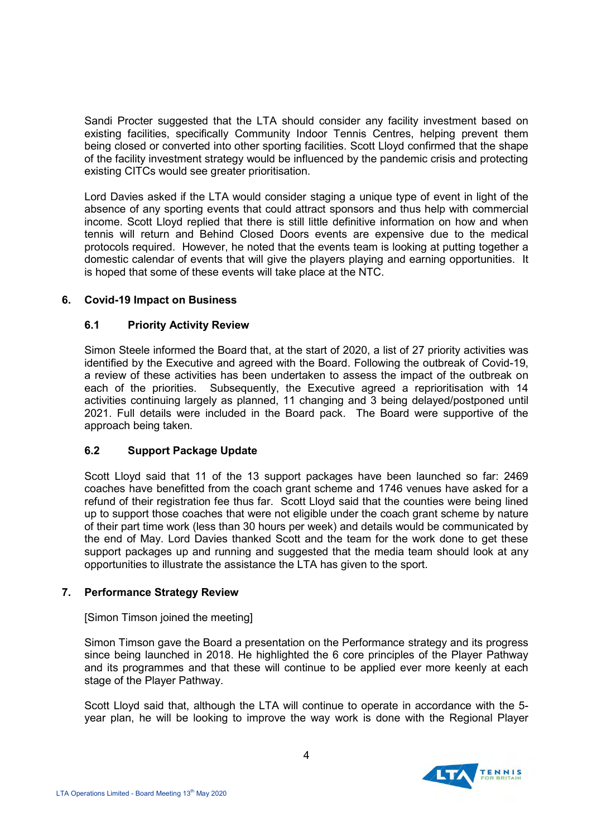Sandi Procter suggested that the LTA should consider any facility investment based on existing facilities, specifically Community Indoor Tennis Centres, helping prevent them being closed or converted into other sporting facilities. Scott Lloyd confirmed that the shape of the facility investment strategy would be influenced by the pandemic crisis and protecting existing CITCs would see greater prioritisation.

Lord Davies asked if the LTA would consider staging a unique type of event in light of the absence of any sporting events that could attract sponsors and thus help with commercial income. Scott Lloyd replied that there is still little definitive information on how and when tennis will return and Behind Closed Doors events are expensive due to the medical protocols required. However, he noted that the events team is looking at putting together a domestic calendar of events that will give the players playing and earning opportunities. It is hoped that some of these events will take place at the NTC.

## **6. Covid-19 Impact on Business**

## **6.1 Priority Activity Review**

Simon Steele informed the Board that, at the start of 2020, a list of 27 priority activities was identified by the Executive and agreed with the Board. Following the outbreak of Covid-19, a review of these activities has been undertaken to assess the impact of the outbreak on each of the priorities. Subsequently, the Executive agreed a reprioritisation with 14 activities continuing largely as planned, 11 changing and 3 being delayed/postponed until 2021. Full details were included in the Board pack. The Board were supportive of the approach being taken.

## **6.2 Support Package Update**

Scott Lloyd said that 11 of the 13 support packages have been launched so far: 2469 coaches have benefitted from the coach grant scheme and 1746 venues have asked for a refund of their registration fee thus far. Scott Lloyd said that the counties were being lined up to support those coaches that were not eligible under the coach grant scheme by nature of their part time work (less than 30 hours per week) and details would be communicated by the end of May. Lord Davies thanked Scott and the team for the work done to get these support packages up and running and suggested that the media team should look at any opportunities to illustrate the assistance the LTA has given to the sport.

## **7. Performance Strategy Review**

## [Simon Timson joined the meeting]

Simon Timson gave the Board a presentation on the Performance strategy and its progress since being launched in 2018. He highlighted the 6 core principles of the Player Pathway and its programmes and that these will continue to be applied ever more keenly at each stage of the Player Pathway.

Scott Lloyd said that, although the LTA will continue to operate in accordance with the 5 year plan, he will be looking to improve the way work is done with the Regional Player

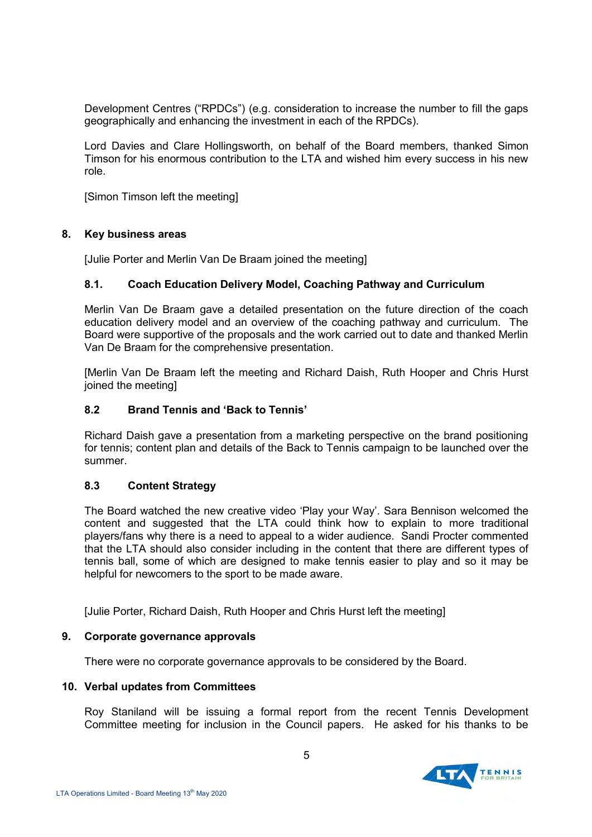Development Centres ("RPDCs") (e.g. consideration to increase the number to fill the gaps geographically and enhancing the investment in each of the RPDCs).

Lord Davies and Clare Hollingsworth, on behalf of the Board members, thanked Simon Timson for his enormous contribution to the LTA and wished him every success in his new role.

[Simon Timson left the meeting]

#### **8. Key business areas**

[Julie Porter and Merlin Van De Braam joined the meeting]

#### **8.1. Coach Education Delivery Model, Coaching Pathway and Curriculum**

Merlin Van De Braam gave a detailed presentation on the future direction of the coach education delivery model and an overview of the coaching pathway and curriculum. The Board were supportive of the proposals and the work carried out to date and thanked Merlin Van De Braam for the comprehensive presentation.

[Merlin Van De Braam left the meeting and Richard Daish, Ruth Hooper and Chris Hurst joined the meeting]

#### **8.2 Brand Tennis and 'Back to Tennis'**

Richard Daish gave a presentation from a marketing perspective on the brand positioning for tennis; content plan and details of the Back to Tennis campaign to be launched over the summer.

#### **8.3 Content Strategy**

The Board watched the new creative video 'Play your Way'. Sara Bennison welcomed the content and suggested that the LTA could think how to explain to more traditional players/fans why there is a need to appeal to a wider audience. Sandi Procter commented that the LTA should also consider including in the content that there are different types of tennis ball, some of which are designed to make tennis easier to play and so it may be helpful for newcomers to the sport to be made aware.

[Julie Porter, Richard Daish, Ruth Hooper and Chris Hurst left the meeting]

#### **9. Corporate governance approvals**

There were no corporate governance approvals to be considered by the Board.

#### **10. Verbal updates from Committees**

Roy Staniland will be issuing a formal report from the recent Tennis Development Committee meeting for inclusion in the Council papers. He asked for his thanks to be

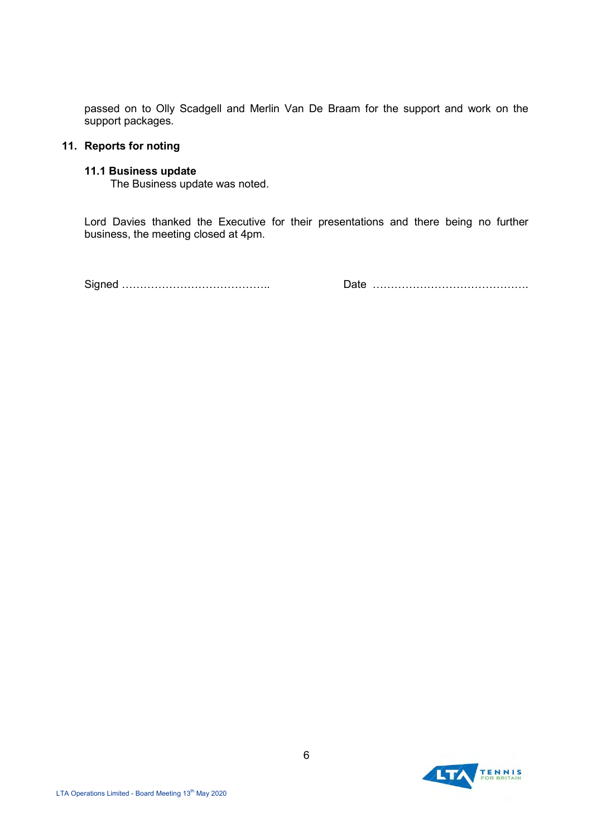passed on to Olly Scadgell and Merlin Van De Braam for the support and work on the support packages.

#### **11. Reports for noting**

#### **11.1 Business update**

The Business update was noted.

Lord Davies thanked the Executive for their presentations and there being no further business, the meeting closed at 4pm.

Signed ………………………………….. Date …………………………………….

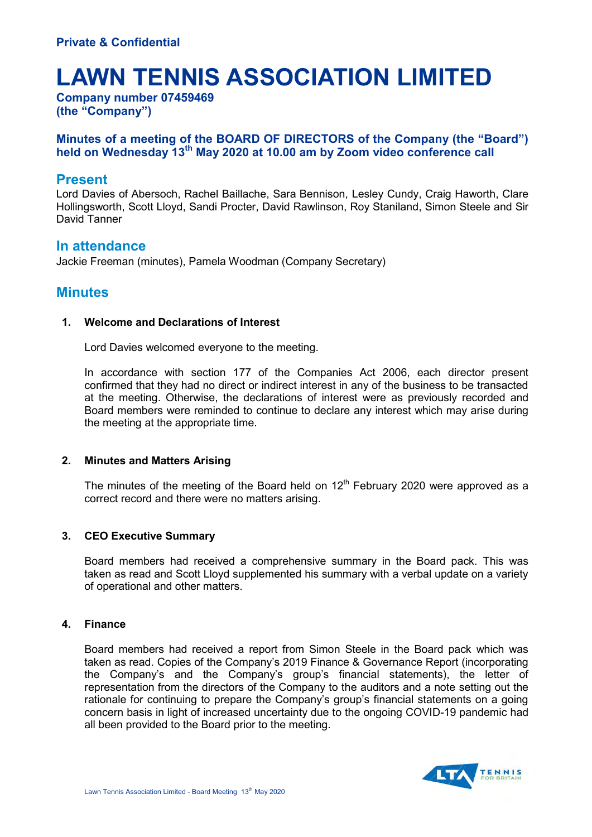# **LAWN TENNIS ASSOCIATION LIMITED**

**Company number 07459469 (the "Company")**

## **Minutes of a meeting of the BOARD OF DIRECTORS of the Company (the "Board") held on Wednesday 13th May 2020 at 10.00 am by Zoom video conference call**

## **Present**

Lord Davies of Abersoch, Rachel Baillache, Sara Bennison, Lesley Cundy, Craig Haworth, Clare Hollingsworth, Scott Lloyd, Sandi Procter, David Rawlinson, Roy Staniland, Simon Steele and Sir David Tanner

## **In attendance**

Jackie Freeman (minutes), Pamela Woodman (Company Secretary)

# **Minutes**

#### **1. Welcome and Declarations of Interest**

Lord Davies welcomed everyone to the meeting.

In accordance with section 177 of the Companies Act 2006, each director present confirmed that they had no direct or indirect interest in any of the business to be transacted at the meeting. Otherwise, the declarations of interest were as previously recorded and Board members were reminded to continue to declare any interest which may arise during the meeting at the appropriate time.

## **2. Minutes and Matters Arising**

The minutes of the meeting of the Board held on  $12<sup>th</sup>$  February 2020 were approved as a correct record and there were no matters arising.

## **3. CEO Executive Summary**

Board members had received a comprehensive summary in the Board pack. This was taken as read and Scott Lloyd supplemented his summary with a verbal update on a variety of operational and other matters.

#### **4. Finance**

Board members had received a report from Simon Steele in the Board pack which was taken as read. Copies of the Company's 2019 Finance & Governance Report (incorporating the Company's and the Company's group's financial statements), the letter of representation from the directors of the Company to the auditors and a note setting out the rationale for continuing to prepare the Company's group's financial statements on a going concern basis in light of increased uncertainty due to the ongoing COVID-19 pandemic had all been provided to the Board prior to the meeting.

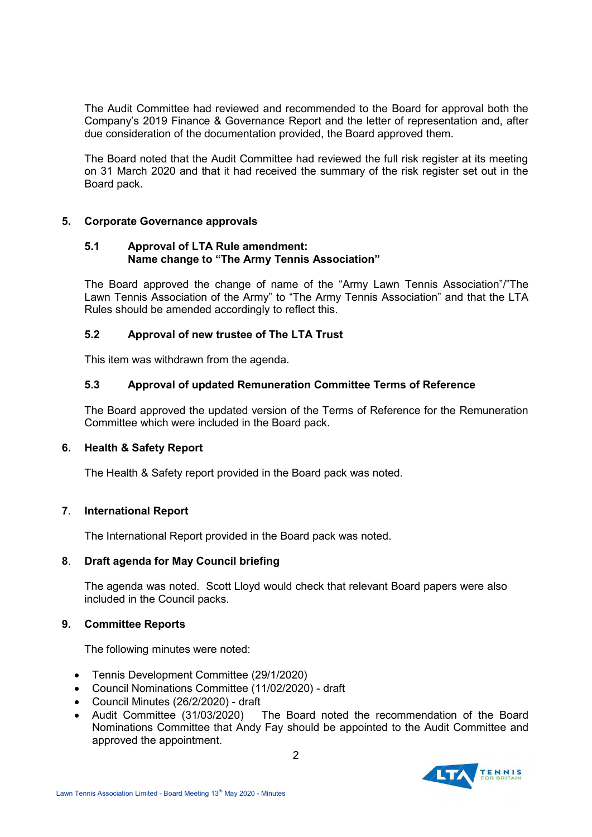The Audit Committee had reviewed and recommended to the Board for approval both the Company's 2019 Finance & Governance Report and the letter of representation and, after due consideration of the documentation provided, the Board approved them.

The Board noted that the Audit Committee had reviewed the full risk register at its meeting on 31 March 2020 and that it had received the summary of the risk register set out in the Board pack.

## **5. Corporate Governance approvals**

### **5.1 Approval of LTA Rule amendment: Name change to "The Army Tennis Association"**

The Board approved the change of name of the "Army Lawn Tennis Association"/"The Lawn Tennis Association of the Army" to "The Army Tennis Association" and that the LTA Rules should be amended accordingly to reflect this.

## **5.2 Approval of new trustee of The LTA Trust**

This item was withdrawn from the agenda.

#### **5.3 Approval of updated Remuneration Committee Terms of Reference**

The Board approved the updated version of the Terms of Reference for the Remuneration Committee which were included in the Board pack.

## **6. Health & Safety Report**

The Health & Safety report provided in the Board pack was noted.

## **7**. **International Report**

The International Report provided in the Board pack was noted.

## **8**. **Draft agenda for May Council briefing**

The agenda was noted. Scott Lloyd would check that relevant Board papers were also included in the Council packs.

#### **9. Committee Reports**

The following minutes were noted:

- Tennis Development Committee (29/1/2020)
- Council Nominations Committee (11/02/2020) draft
- Council Minutes (26/2/2020) draft
- Audit Committee (31/03/2020) The Board noted the recommendation of the Board Nominations Committee that Andy Fay should be appointed to the Audit Committee and approved the appointment.